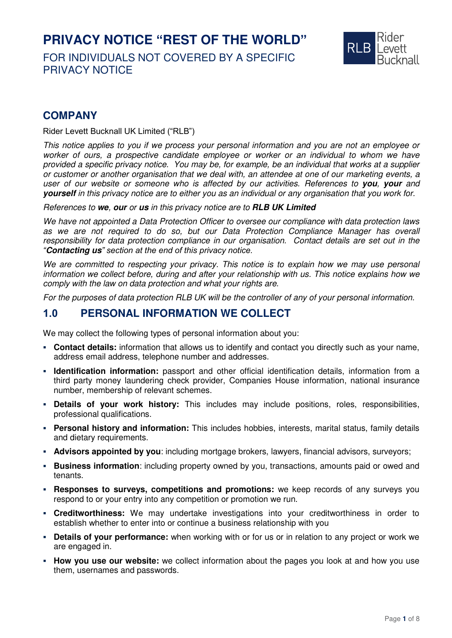# **PRIVACY NOTICE "REST OF THE WORLD"**

FOR INDIVIDUALS NOT COVERED BY A SPECIFIC PRIVACY NOTICE



# **COMPANY**

Rider Levett Bucknall UK Limited ("RLB")

This notice applies to you if we process your personal information and you are not an employee or worker of ours, a prospective candidate employee or worker or an individual to whom we have provided a specific privacy notice. You may be, for example, be an individual that works at a supplier or customer or another organisation that we deal with, an attendee at one of our marketing events, a user of our website or someone who is affected by our activities. References to **you**, **your** and **yourself** in this privacy notice are to either you as an individual or any organisation that you work for.

References to **we**, **our** or **us** in this privacy notice are to **RLB UK Limited**

We have not appointed a Data Protection Officer to oversee our compliance with data protection laws as we are not required to do so, but our Data Protection Compliance Manager has overall responsibility for data protection compliance in our organisation. Contact details are set out in the *"***Contacting us***" section at the end of this privacy notice.*

We are committed to respecting your privacy. This notice is to explain how we may use personal information we collect before, during and after your relationship with us. This notice explains how we comply with the law on data protection and what your rights are.

For the purposes of data protection RLB UK will be the controller of any of your personal information.

#### **1.0 PERSONAL INFORMATION WE COLLECT**

We may collect the following types of personal information about you:

- **Contact details:** information that allows us to identify and contact you directly such as your name, address email address, telephone number and addresses.
- **Identification information:** passport and other official identification details, information from a third party money laundering check provider, Companies House information, national insurance number, membership of relevant schemes.
- **Details of your work history:** This includes may include positions, roles, responsibilities, professional qualifications.
- **Personal history and information:** This includes hobbies, interests, marital status, family details and dietary requirements.
- **EXED Advisors appointed by you:** including mortgage brokers, lawyers, financial advisors, surveyors;
- **EXECT Business information:** including property owned by you, transactions, amounts paid or owed and tenants.
- **EXERED FINDS EXET ADDEX THE SPONSES 10 SURFER 10 SURFERENT FINDS FINDS** FINDS was **Responses** to **surveys** you respond to or your entry into any competition or promotion we run.
- **Creditworthiness:** We may undertake investigations into your creditworthiness in order to establish whether to enter into or continue a business relationship with you
- **Details of your performance:** when working with or for us or in relation to any project or work we are engaged in.
- **EXED WATE: How you use our website:** we collect information about the pages you look at and how you use them, usernames and passwords.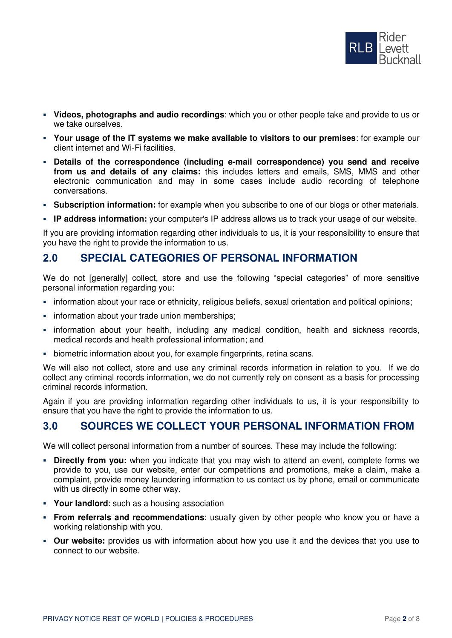

- **Videos, photographs and audio recordings**: which you or other people take and provide to us or we take ourselves.
- **Your usage of the IT systems we make available to visitors to our premises**: for example our client internet and Wi-Fi facilities.
- **Details of the correspondence (including e-mail correspondence) you send and receive from us and details of any claims:** this includes letters and emails, SMS, MMS and other electronic communication and may in some cases include audio recording of telephone conversations.
- **EXEDENTIFY Subscription information:** for example when you subscribe to one of our blogs or other materials.
- **IP address information:** your computer's IP address allows us to track your usage of our website.

If you are providing information regarding other individuals to us, it is your responsibility to ensure that you have the right to provide the information to us.

#### **2.0 SPECIAL CATEGORIES OF PERSONAL INFORMATION**

We do not [generally] collect, store and use the following "special categories" of more sensitive personal information regarding you:

- information about your race or ethnicity, religious beliefs, sexual orientation and political opinions;
- **•** information about your trade union memberships;
- **•** information about your health, including any medical condition, health and sickness records, medical records and health professional information; and
- **EXEDENT** biometric information about you, for example fingerprints, retina scans.

We will also not collect, store and use any criminal records information in relation to you. If we do collect any criminal records information, we do not currently rely on consent as a basis for processing criminal records information.

Again if you are providing information regarding other individuals to us, it is your responsibility to ensure that you have the right to provide the information to us.

# **3.0 SOURCES WE COLLECT YOUR PERSONAL INFORMATION FROM**

We will collect personal information from a number of sources. These may include the following:

- **· Directly from you:** when you indicate that you may wish to attend an event, complete forms we provide to you, use our website, enter our competitions and promotions, make a claim, make a complaint, provide money laundering information to us contact us by phone, email or communicate with us directly in some other way.
- **Your landlord**: such as a housing association
- **From referrals and recommendations**: usually given by other people who know you or have a working relationship with you.
- **Our website:** provides us with information about how you use it and the devices that you use to connect to our website.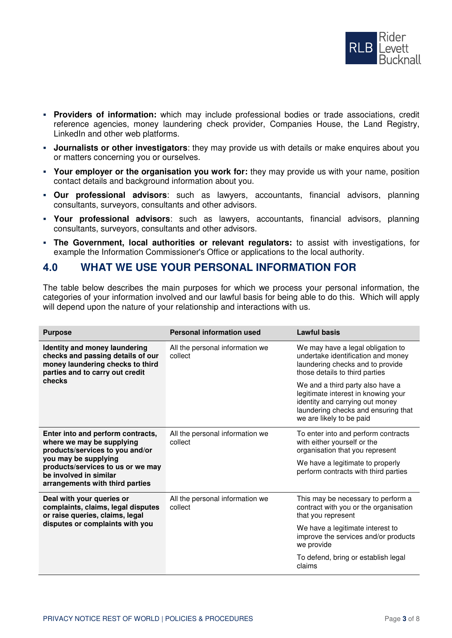

- **Providers of information:** which may include professional bodies or trade associations, credit reference agencies, money laundering check provider, Companies House, the Land Registry, LinkedIn and other web platforms.
- **Journalists or other investigators**: they may provide us with details or make enquires about you or matters concerning you or ourselves.
- **Your employer or the organisation you work for:** they may provide us with your name, position contact details and background information about you.
- **Our professional advisors**: such as lawyers, accountants, financial advisors, planning consultants, surveyors, consultants and other advisors.
- **Your professional advisors**: such as lawyers, accountants, financial advisors, planning consultants, surveyors, consultants and other advisors.
- **The Government, local authorities or relevant regulators:** to assist with investigations, for example the Information Commissioner's Office or applications to the local authority.

#### **4.0 WHAT WE USE YOUR PERSONAL INFORMATION FOR**

The table below describes the main purposes for which we process your personal information, the categories of your information involved and our lawful basis for being able to do this. Which will apply will depend upon the nature of your relationship and interactions with us.

| <b>Purpose</b>                                                                                                                                                                                                              | <b>Personal information used</b>           | <b>Lawful basis</b>                                                                                                                                                           |
|-----------------------------------------------------------------------------------------------------------------------------------------------------------------------------------------------------------------------------|--------------------------------------------|-------------------------------------------------------------------------------------------------------------------------------------------------------------------------------|
| Identity and money laundering<br>checks and passing details of our<br>money laundering checks to third<br>parties and to carry out credit<br>checks                                                                         | All the personal information we<br>collect | We may have a legal obligation to<br>undertake identification and money<br>laundering checks and to provide<br>those details to third parties                                 |
|                                                                                                                                                                                                                             |                                            | We and a third party also have a<br>legitimate interest in knowing your<br>identity and carrying out money<br>laundering checks and ensuring that<br>we are likely to be paid |
| Enter into and perform contracts,<br>where we may be supplying<br>products/services to you and/or<br>you may be supplying<br>products/services to us or we may<br>be involved in similar<br>arrangements with third parties | All the personal information we<br>collect | To enter into and perform contracts<br>with either yourself or the<br>organisation that you represent                                                                         |
|                                                                                                                                                                                                                             |                                            | We have a legitimate to properly<br>perform contracts with third parties                                                                                                      |
| Deal with your queries or<br>complaints, claims, legal disputes<br>or raise queries, claims, legal<br>disputes or complaints with you                                                                                       | All the personal information we<br>collect | This may be necessary to perform a<br>contract with you or the organisation<br>that you represent                                                                             |
|                                                                                                                                                                                                                             |                                            | We have a legitimate interest to<br>improve the services and/or products<br>we provide                                                                                        |
|                                                                                                                                                                                                                             |                                            | To defend, bring or establish legal<br>claims                                                                                                                                 |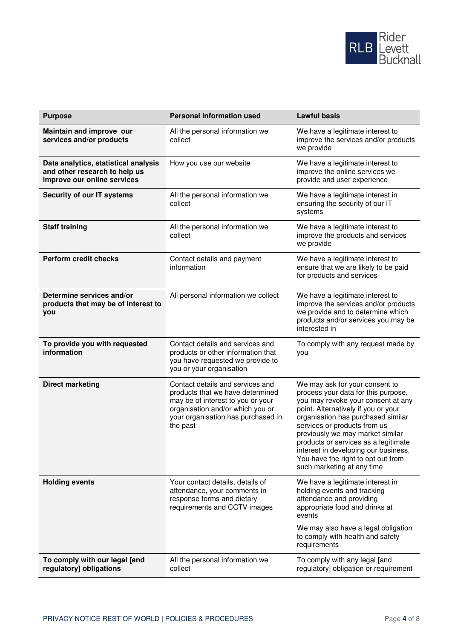

| <b>Purpose</b>                                                                                       | <b>Personal information used</b>                                                                                                                                                                | <b>Lawful basis</b>                                                                                                                                                                                                                                                                                                                                                                                              |
|------------------------------------------------------------------------------------------------------|-------------------------------------------------------------------------------------------------------------------------------------------------------------------------------------------------|------------------------------------------------------------------------------------------------------------------------------------------------------------------------------------------------------------------------------------------------------------------------------------------------------------------------------------------------------------------------------------------------------------------|
| Maintain and improve our<br>services and/or products                                                 | All the personal information we<br>collect                                                                                                                                                      | We have a legitimate interest to<br>improve the services and/or products<br>we provide                                                                                                                                                                                                                                                                                                                           |
| Data analytics, statistical analysis<br>and other research to help us<br>improve our online services | How you use our website                                                                                                                                                                         | We have a legitimate interest to<br>improve the online services we<br>provide and user experience                                                                                                                                                                                                                                                                                                                |
| Security of our IT systems                                                                           | All the personal information we<br>collect                                                                                                                                                      | We have a legitimate interest in<br>ensuring the security of our IT<br>systems                                                                                                                                                                                                                                                                                                                                   |
| <b>Staff training</b>                                                                                | All the personal information we<br>collect                                                                                                                                                      | We have a legitimate interest to<br>improve the products and services<br>we provide                                                                                                                                                                                                                                                                                                                              |
| <b>Perform credit checks</b>                                                                         | Contact details and payment<br>information                                                                                                                                                      | We have a legitimate interest to<br>ensure that we are likely to be paid<br>for products and services                                                                                                                                                                                                                                                                                                            |
| Determine services and/or<br>products that may be of interest to<br>you                              | All personal information we collect                                                                                                                                                             | We have a legitimate interest to<br>improve the services and/or products<br>we provide and to determine which<br>products and/or services you may be<br>interested in                                                                                                                                                                                                                                            |
| To provide you with requested<br>information                                                         | Contact details and services and<br>products or other information that<br>you have requested we provide to<br>you or your organisation                                                          | To comply with any request made by<br>you                                                                                                                                                                                                                                                                                                                                                                        |
| <b>Direct marketing</b>                                                                              | Contact details and services and<br>products that we have determined<br>may be of interest to you or your<br>organisation and/or which you or<br>your organisation has purchased in<br>the past | We may ask for your consent to<br>process your data for this purpose,<br>you may revoke your consent at any<br>point. Alternatively if you or your<br>organisation has purchased similar<br>services or products from us<br>previously we may market similar<br>products or services as a legitimate<br>interest in developing our business.<br>You have the right to opt out from<br>such marketing at any time |
| <b>Holding events</b>                                                                                | Your contact details, details of<br>attendance, your comments in<br>response forms and dietary<br>requirements and CCTV images                                                                  | We have a legitimate interest in<br>holding events and tracking<br>attendance and providing<br>appropriate food and drinks at<br>events<br>We may also have a legal obligation                                                                                                                                                                                                                                   |
|                                                                                                      |                                                                                                                                                                                                 | to comply with health and safety<br>requirements                                                                                                                                                                                                                                                                                                                                                                 |
| To comply with our legal [and<br>regulatory] obligations                                             | All the personal information we<br>collect                                                                                                                                                      | To comply with any legal [and<br>regulatory] obligation or requirement                                                                                                                                                                                                                                                                                                                                           |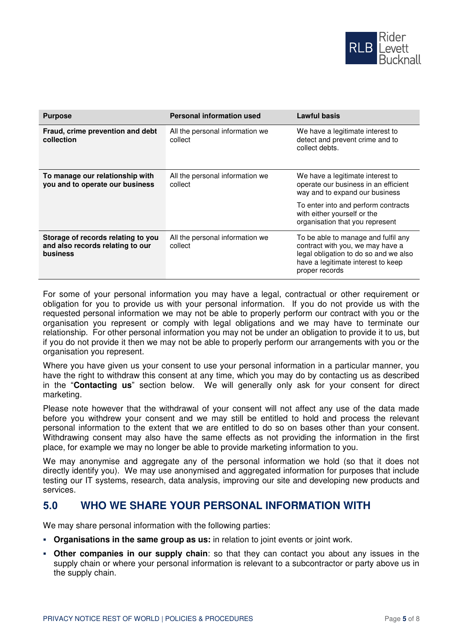

| <b>Purpose</b>                                                                     | <b>Personal information used</b>           | Lawful basis                                                                                                                                                             |
|------------------------------------------------------------------------------------|--------------------------------------------|--------------------------------------------------------------------------------------------------------------------------------------------------------------------------|
| Fraud, crime prevention and debt<br>collection                                     | All the personal information we<br>collect | We have a legitimate interest to<br>detect and prevent crime and to<br>collect debts.                                                                                    |
| To manage our relationship with<br>you and to operate our business                 | All the personal information we<br>collect | We have a legitimate interest to<br>operate our business in an efficient<br>way and to expand our business                                                               |
|                                                                                    |                                            | To enter into and perform contracts<br>with either yourself or the<br>organisation that you represent                                                                    |
| Storage of records relating to you<br>and also records relating to our<br>business | All the personal information we<br>collect | To be able to manage and fulfil any<br>contract with you, we may have a<br>legal obligation to do so and we also<br>have a legitimate interest to keep<br>proper records |

For some of your personal information you may have a legal, contractual or other requirement or obligation for you to provide us with your personal information. If you do not provide us with the requested personal information we may not be able to properly perform our contract with you or the organisation you represent or comply with legal obligations and we may have to terminate our relationship. For other personal information you may not be under an obligation to provide it to us, but if you do not provide it then we may not be able to properly perform our arrangements with you or the organisation you represent.

Where you have given us your consent to use your personal information in a particular manner, you have the right to withdraw this consent at any time, which you may do by contacting us as described in the "**Contacting us**" section below. We will generally only ask for your consent for direct marketing.

Please note however that the withdrawal of your consent will not affect any use of the data made before you withdrew your consent and we may still be entitled to hold and process the relevant personal information to the extent that we are entitled to do so on bases other than your consent. Withdrawing consent may also have the same effects as not providing the information in the first place, for example we may no longer be able to provide marketing information to you.

We may anonymise and aggregate any of the personal information we hold (so that it does not directly identify you). We may use anonymised and aggregated information for purposes that include testing our IT systems, research, data analysis, improving our site and developing new products and services.

#### **5.0 WHO WE SHARE YOUR PERSONAL INFORMATION WITH**

We may share personal information with the following parties:

- **Organisations in the same group as us:** in relation to joint events or joint work.
- **Other companies in our supply chain**: so that they can contact you about any issues in the supply chain or where your personal information is relevant to a subcontractor or party above us in the supply chain.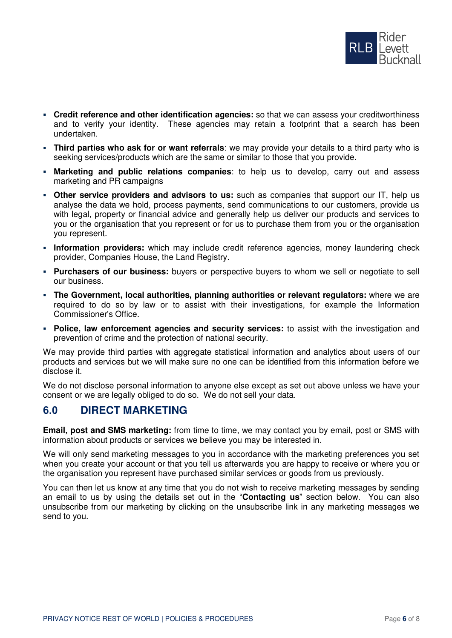

- **Credit reference and other identification agencies:** so that we can assess your creditworthiness and to verify your identity. These agencies may retain a footprint that a search has been undertaken.
- **Third parties who ask for or want referrals**: we may provide your details to a third party who is seeking services/products which are the same or similar to those that you provide.
- **Marketing and public relations companies**: to help us to develop, carry out and assess marketing and PR campaigns
- **Other service providers and advisors to us:** such as companies that support our IT, help us analyse the data we hold, process payments, send communications to our customers, provide us with legal, property or financial advice and generally help us deliver our products and services to you or the organisation that you represent or for us to purchase them from you or the organisation you represent.
- **· Information providers:** which may include credit reference agencies, money laundering check provider, Companies House, the Land Registry.
- **Purchasers of our business:** buyers or perspective buyers to whom we sell or negotiate to sell our business.
- **The Government, local authorities, planning authorities or relevant regulators:** where we are required to do so by law or to assist with their investigations, for example the Information Commissioner's Office.
- **Police, law enforcement agencies and security services:** to assist with the investigation and prevention of crime and the protection of national security.

We may provide third parties with aggregate statistical information and analytics about users of our products and services but we will make sure no one can be identified from this information before we disclose it.

We do not disclose personal information to anyone else except as set out above unless we have your consent or we are legally obliged to do so. We do not sell your data.

## **6.0 DIRECT MARKETING**

**Email, post and SMS marketing:** from time to time, we may contact you by email, post or SMS with information about products or services we believe you may be interested in.

We will only send marketing messages to you in accordance with the marketing preferences you set when you create your account or that you tell us afterwards you are happy to receive or where you or the organisation you represent have purchased similar services or goods from us previously.

You can then let us know at any time that you do not wish to receive marketing messages by sending an email to us by using the details set out in the "**Contacting us**" section below. You can also unsubscribe from our marketing by clicking on the unsubscribe link in any marketing messages we send to you.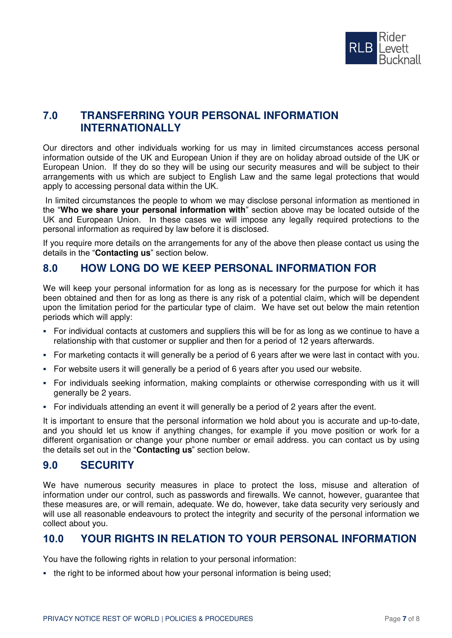

# **7.0 TRANSFERRING YOUR PERSONAL INFORMATION INTERNATIONALLY**

Our directors and other individuals working for us may in limited circumstances access personal information outside of the UK and European Union if they are on holiday abroad outside of the UK or European Union. If they do so they will be using our security measures and will be subject to their arrangements with us which are subject to English Law and the same legal protections that would apply to accessing personal data within the UK.

 In limited circumstances the people to whom we may disclose personal information as mentioned in the "**Who we share your personal information with**" section above may be located outside of the UK and European Union. In these cases we will impose any legally required protections to the personal information as required by law before it is disclosed.

If you require more details on the arrangements for any of the above then please contact us using the details in the "**Contacting us**" section below.

# **8.0 HOW LONG DO WE KEEP PERSONAL INFORMATION FOR**

We will keep your personal information for as long as is necessary for the purpose for which it has been obtained and then for as long as there is any risk of a potential claim, which will be dependent upon the limitation period for the particular type of claim. We have set out below the main retention periods which will apply:

- For individual contacts at customers and suppliers this will be for as long as we continue to have a relationship with that customer or supplier and then for a period of 12 years afterwards.
- For marketing contacts it will generally be a period of 6 years after we were last in contact with you.
- For website users it will generally be a period of 6 years after you used our website.
- For individuals seeking information, making complaints or otherwise corresponding with us it will generally be 2 years.
- For individuals attending an event it will generally be a period of 2 years after the event.

It is important to ensure that the personal information we hold about you is accurate and up-to-date, and you should let us know if anything changes, for example if you move position or work for a different organisation or change your phone number or email address. you can contact us by using the details set out in the "**Contacting us**" section below.

## **9.0 SECURITY**

We have numerous security measures in place to protect the loss, misuse and alteration of information under our control, such as passwords and firewalls. We cannot, however, guarantee that these measures are, or will remain, adequate. We do, however, take data security very seriously and will use all reasonable endeavours to protect the integrity and security of the personal information we collect about you.

## **10.0 YOUR RIGHTS IN RELATION TO YOUR PERSONAL INFORMATION**

You have the following rights in relation to your personal information:

▪ the right to be informed about how your personal information is being used;